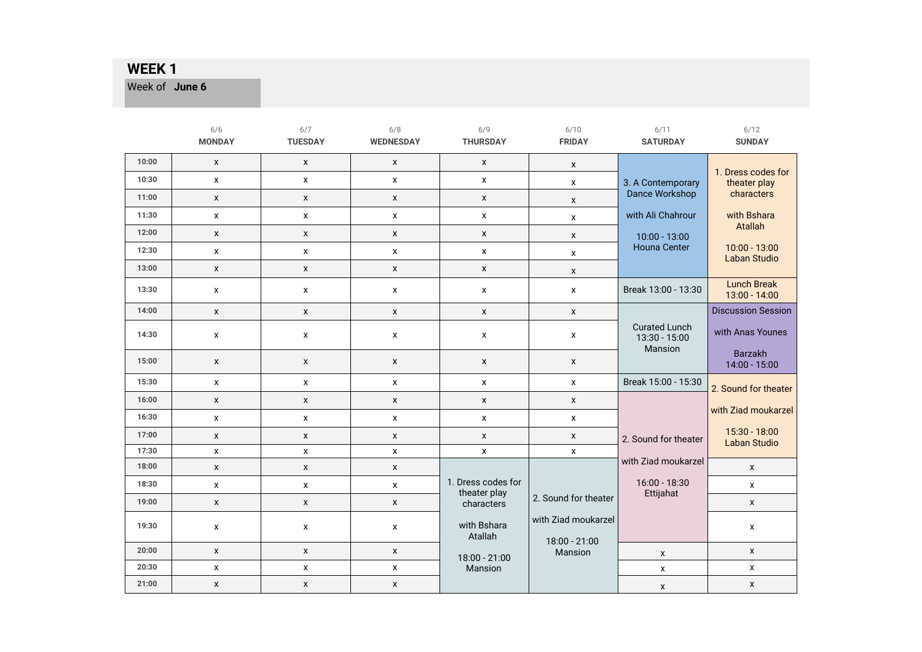Week of **June 6** 

|       | 6/6<br><b>MONDAY</b> | 6/7<br><b>TUESDAY</b> | 6/8<br><b>WEDNESDAY</b> | 6/9<br><b>THURSDAY</b>             | 6/10<br><b>FRIDAY</b>                | 6/11<br><b>SATURDAY</b>                          | 6/12<br><b>SUNDAY</b>                  |
|-------|----------------------|-----------------------|-------------------------|------------------------------------|--------------------------------------|--------------------------------------------------|----------------------------------------|
| 10:00 | $\pmb{\mathsf{x}}$   | $\pmb{\mathsf{X}}$    | X                       | $\pmb{\mathsf{X}}$                 | X                                    |                                                  | 1. Dress codes for                     |
| 10:30 | X                    | X                     | $\mathsf{x}$            | X                                  | X                                    | 3. A Contemporary                                | theater play                           |
| 11:00 | $\pmb{\mathsf{X}}$   | $\mathsf{x}$          | $\pmb{\chi}$            | X                                  | X                                    | Dance Workshop                                   | characters                             |
| 11:30 | $\pmb{\mathsf{x}}$   | $\pmb{\mathsf{x}}$    | $\pmb{\mathsf{x}}$      | $\mathsf{x}$                       | X                                    | with Ali Chahrour                                | with Bshara                            |
| 12:00 | $\pmb{\mathsf{x}}$   | $\pmb{\mathsf{X}}$    | $\pmb{\mathsf{X}}$      | $\pmb{\mathsf{X}}$                 | X                                    | $10:00 - 13:00$                                  | Atallah                                |
| 12:30 | $\pmb{\mathsf{x}}$   | $\pmb{\chi}$          | $\pmb{\mathsf{X}}$      | $\mathsf{x}$                       | $\pmb{\mathsf{x}}$                   | <b>Houna Center</b>                              | $10:00 - 13:00$<br>Laban Studio        |
| 13:00 | $\pmb{\mathsf{x}}$   | $\pmb{\mathsf{X}}$    | X                       | $\pmb{\mathsf{X}}$                 | $\mathsf{x}$                         |                                                  |                                        |
| 13:30 | X                    | X                     | X                       | X                                  | X                                    | Break 13:00 - 13:30                              | <b>Lunch Break</b><br>$13:00 - 14:00$  |
| 14:00 | X                    | $\pmb{\mathsf{X}}$    | $\pmb{\mathsf{X}}$      | X                                  | $\mathsf{x}$                         |                                                  | <b>Discussion Session</b>              |
| 14:30 | $\pmb{\mathsf{x}}$   | $\pmb{\mathsf{X}}$    | X                       | $\mathsf{x}$                       | $\pmb{\mathsf{x}}$                   | <b>Curated Lunch</b><br>13:30 - 15:00<br>Mansion | with Anas Younes                       |
| 15:00 | X                    | $\mathsf{x}$          | X                       | X                                  | X                                    |                                                  | Barzakh<br>14:00 - 15:00               |
| 15:30 | X                    | X                     | X                       | X                                  | $\mathsf{x}$                         | Break 15:00 - 15:30                              | 2. Sound for theater                   |
| 16:00 | X                    | $\mathsf{x}$          | X                       | $\boldsymbol{\mathsf{x}}$          | $\mathsf{x}$                         |                                                  |                                        |
| 16:30 | X                    | X                     | $\mathsf{x}$            | X                                  | $\pmb{\mathsf{X}}$                   |                                                  | with Ziad moukarzel                    |
| 17:00 | $\pmb{\mathsf{x}}$   | $\pmb{\mathsf{X}}$    | X                       | X                                  | $\mathsf{x}$                         | 2. Sound for theater                             | $15:30 - 18:00$<br><b>Laban Studio</b> |
| 17:30 | $\pmb{\mathsf{x}}$   | $\pmb{\mathsf{x}}$    | X                       | x                                  | X                                    | with Ziad moukarzel                              |                                        |
| 18:00 | $\pmb{\mathsf{X}}$   | $\mathsf{x}$          | X                       |                                    |                                      |                                                  | $\pmb{\mathsf{X}}$                     |
| 18:30 | X                    | X                     | X                       | 1. Dress codes for<br>theater play |                                      | $16:00 - 18:30$<br>Ettijahat                     | $\pmb{\mathsf{X}}$                     |
| 19:00 | $\pmb{\mathsf{X}}$   | $\pmb{\chi}$          | $\mathsf{x}$            | characters                         | 2. Sound for theater                 |                                                  | $\mathsf{x}$                           |
| 19:30 | X                    | X                     | X                       | with Bshara<br>Atallah             | with Ziad moukarzel<br>18:00 - 21:00 |                                                  | X                                      |
| 20:00 | X                    | X                     | X                       | 18:00 - 21:00                      | Mansion                              | X                                                | $\mathsf{x}$                           |
| 20:30 | X                    | X                     | X                       | Mansion                            |                                      | X                                                | $\pmb{\mathsf{X}}$                     |
| 21:00 | X                    | $\mathsf{x}$          | X                       |                                    |                                      | X                                                | $\mathsf{x}$                           |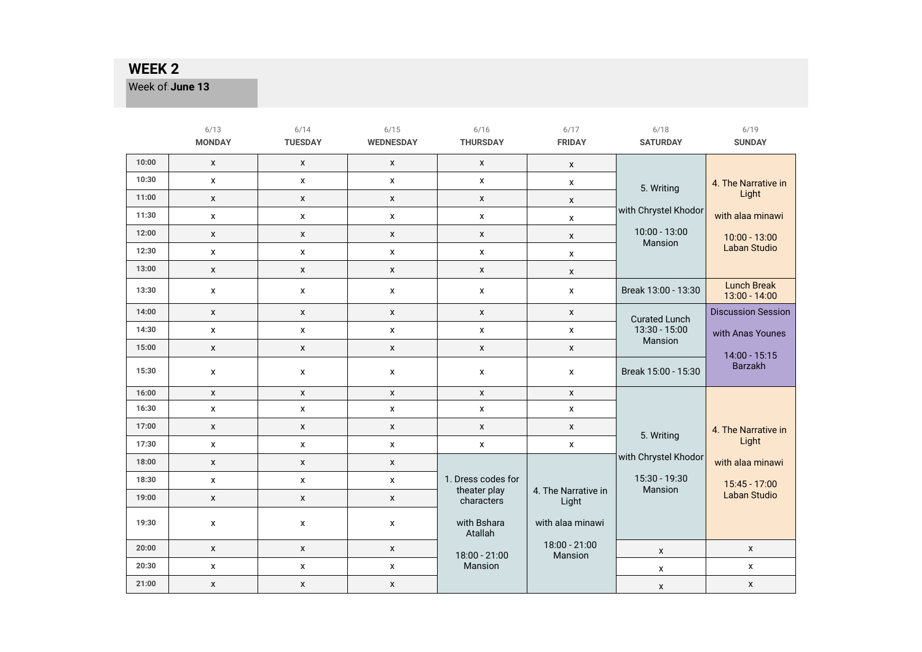Week of: June 13

|       | 6/13<br><b>MONDAY</b> | 6/14<br><b>TUESDAY</b> | 6/15<br><b>WEDNESDAY</b> | 6/16<br><b>THURSDAY</b>    | 6/17<br><b>FRIDAY</b>        | 6/18<br><b>SATURDAY</b>    | 6/19<br><b>SUNDAY</b>                 |
|-------|-----------------------|------------------------|--------------------------|----------------------------|------------------------------|----------------------------|---------------------------------------|
| 10:00 | $\mathsf{x}$          | X                      | X                        | $\mathsf{x}$               | $\mathsf{x}$                 |                            |                                       |
| 10:30 | $\pmb{\mathsf{X}}$    | $\mathsf{x}$           | $\pmb{\mathsf{x}}$       | $\pmb{\chi}$               | $\pmb{\mathsf{X}}$           | 5. Writing                 | 4. The Narrative in                   |
| 11:00 | $\mathsf X$           | $\mathsf X$            | $\pmb{\mathsf{X}}$       | $\pmb{\mathsf{X}}$         | $\mathsf{x}$                 |                            | Light                                 |
| 11:30 | $\mathsf{x}$          | $\mathsf{X}$           | $\mathsf{X}$             | $\mathsf{x}$               | $\pmb{\chi}$                 | with Chrystel Khodor       | with alaa minawi                      |
| 12:00 | $\pmb{\mathsf{X}}$    | $\mathsf{x}$           | $\pmb{\mathsf{x}}$       | $\pmb{\chi}$               | X                            | $10:00 - 13:00$<br>Mansion | 10:00 - 13:00                         |
| 12:30 | $\pmb{\mathsf{X}}$    | $\mathsf{x}$           | $\pmb{\mathsf{x}}$       | X                          | $\mathsf{x}$                 |                            | <b>Laban Studio</b>                   |
| 13:00 | $\mathsf X$           | $\mathsf X$            | $\mathsf X$              | $\pmb{\mathsf{X}}$         | $\pmb{\chi}$                 |                            |                                       |
| 13:30 | $\pmb{\mathsf{X}}$    | X                      | X                        | $\mathsf{x}$               | $\pmb{\chi}$                 | Break 13:00 - 13:30        | <b>Lunch Break</b><br>$13:00 - 14:00$ |
| 14:00 | $\mathsf X$           | $\mathsf{x}$           | $\pmb{\mathsf{x}}$       | $\mathsf{x}$               | $\pmb{\chi}$                 | <b>Curated Lunch</b>       | <b>Discussion Session</b>             |
| 14:30 | $\pmb{\mathsf{X}}$    | $\mathsf{x}$           | $\pmb{\mathsf{x}}$       | $\pmb{\chi}$               | $\pmb{\chi}$                 | $13:30 - 15:00$            | with Anas Younes                      |
| 15:00 | $\pmb{\mathsf{X}}$    | $\mathsf{x}$           | $\pmb{\mathsf{x}}$       | $\pmb{\mathsf{X}}$         | $\pmb{\chi}$                 | Mansion                    | 14:00 - 15:15                         |
| 15:30 | X                     | X                      | $\pmb{\mathsf{x}}$       | $\pmb{\mathsf{X}}$         | $\pmb{\mathsf{X}}$           | Break 15:00 - 15:30        | Barzakh                               |
| 16:00 | $\pmb{\mathsf{X}}$    | X                      | X                        | $\pmb{\chi}$               | $\mathsf{x}$                 |                            |                                       |
| 16:30 | $\pmb{\mathsf{X}}$    | $\pmb{\mathsf{x}}$     | $\pmb{\mathsf{x}}$       | $\pmb{\mathsf{X}}$         | $\pmb{\mathsf{X}}$           |                            |                                       |
| 17:00 | $\mathsf{x}$          | X                      | X                        | $\mathsf{x}$               | $\pmb{\chi}$                 | 5. Writing                 | 4. The Narrative in                   |
| 17:30 | $\pmb{\mathsf{X}}$    | $\mathsf{x}$           | $\mathsf{x}$             | $\pmb{\mathsf{X}}$         | $\mathsf{x}$                 |                            | Light                                 |
| 18:00 | $\pmb{\mathsf{X}}$    | $\mathsf{x}$           | $\pmb{\mathsf{x}}$       |                            |                              | with Chrystel Khodor       | with alaa minawi                      |
| 18:30 | $\pmb{\mathsf{X}}$    | $\mathsf{x}$           | $\mathsf{x}$             | 1. Dress codes for         |                              | 15:30 - 19:30<br>Mansion   | 15:45 - 17:00                         |
| 19:00 | $\pmb{\mathsf{X}}$    | $\mathsf{x}$           | $\pmb{\mathsf{x}}$       | theater play<br>characters | 4. The Narrative in<br>Light |                            | Laban Studio                          |
| 19:30 | X                     | X                      | X                        | with Bshara<br>Atallah     | with alaa minawi             |                            |                                       |
| 20:00 | $\pmb{\mathsf{x}}$    | $\pmb{\mathsf{X}}$     | $\pmb{\mathsf{x}}$       | 18:00 - 21:00              | 18:00 - 21:00<br>Mansion     | X                          | $\pmb{\mathsf{X}}$                    |
| 20:30 | $\pmb{\mathsf{X}}$    | $\mathsf{x}$           | $\pmb{\mathsf{x}}$       | Mansion                    |                              | $\pmb{\mathsf{x}}$         | $\pmb{\mathsf{X}}$                    |
| 21:00 | $\pmb{\mathsf{X}}$    | $\mathsf{x}$           | $\mathsf{x}$             |                            |                              | X                          | $\pmb{\mathsf{X}}$                    |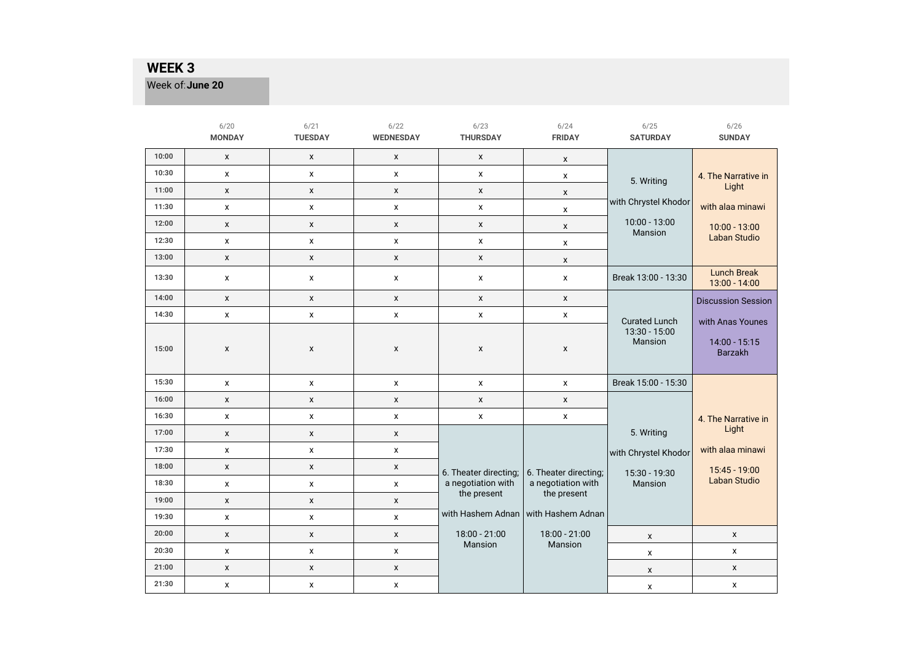Week of: June 20

|       | 6/20<br><b>MONDAY</b> | 6/21<br><b>TUESDAY</b> | 6/22<br><b>WEDNESDAY</b> | 6/23<br><b>THURSDAY</b> | 6/24<br><b>FRIDAY</b> | 6/25<br><b>SATURDAY</b>    | 6/26<br><b>SUNDAY</b>               |
|-------|-----------------------|------------------------|--------------------------|-------------------------|-----------------------|----------------------------|-------------------------------------|
| 10:00 | $\pmb{\mathsf{x}}$    | X                      | X                        | x                       | x                     |                            |                                     |
| 10:30 | $\pmb{\mathsf{x}}$    | x                      | x                        | x                       | x                     | 5. Writing                 | 4. The Narrative in                 |
| 11:00 | $\pmb{\mathsf{x}}$    | $\mathsf X$            | $\pmb{\mathsf{x}}$       | $\mathsf X$             | X                     |                            | Light                               |
| 11:30 | X                     | X                      | x                        | x                       | x                     | with Chrystel Khodor       | with alaa minawi                    |
| 12:00 | X                     | X                      | X                        | X                       | X                     | $10:00 - 13:00$<br>Mansion | 10:00 - 13:00                       |
| 12:30 | $\pmb{\mathsf{x}}$    | $\pmb{\mathsf{X}}$     | X                        | x                       | x                     |                            | <b>Laban Studio</b>                 |
| 13:00 | $\pmb{\chi}$          | $\mathsf X$            | $\pmb{\mathsf{x}}$       | X                       | X                     |                            |                                     |
| 13:30 | X                     | X                      | X                        | X                       | $\pmb{\mathsf{x}}$    | Break 13:00 - 13:30        | <b>Lunch Break</b><br>13:00 - 14:00 |
| 14:00 | $\mathsf X$           | X                      | X                        | X                       | x                     |                            | <b>Discussion Session</b>           |
| 14:30 | $\pmb{\mathsf{x}}$    | $\pmb{\mathsf{x}}$     | x                        | x                       | x                     | <b>Curated Lunch</b>       | with Anas Younes                    |
| 15:00 | X                     | X                      | X                        | X                       | X                     | 13:30 - 15:00<br>Mansion   | 14:00 - 15:15<br><b>Barzakh</b>     |
| 15:30 | $\pmb{\mathsf{x}}$    | x                      | x                        | x                       | x                     | Break 15:00 - 15:30        |                                     |
| 16:00 | $\pmb{\mathsf{X}}$    | X                      | X                        | X                       | X                     |                            |                                     |
| 16:30 | $\pmb{\mathsf{x}}$    | $\mathsf X$            | x                        | $\pmb{\mathsf{x}}$      | X                     |                            | 4. The Narrative in                 |
| 17:00 | $\pmb{\mathsf{X}}$    | X                      | X                        |                         |                       | 5. Writing                 | Light                               |
| 17:30 | X                     | X                      | X                        |                         |                       | with Chrystel Khodor       | with alaa minawi                    |
| 18:00 | X                     | X                      | X                        | 6. Theater directing;   | 6. Theater directing; | 15:30 - 19:30              | 15:45 - 19:00                       |
| 18:30 | $\pmb{\mathsf{x}}$    | X                      | X                        | a negotiation with      | a negotiation with    | Mansion                    | <b>Laban Studio</b>                 |
| 19:00 | $\pmb{\mathsf{x}}$    | X                      | X                        | the present             | the present           |                            |                                     |
| 19:30 | X                     | $\pmb{\mathsf{X}}$     | X                        | with Hashem Adnan       | with Hashem Adnan     |                            |                                     |
| 20:00 | $\pmb{\chi}$          | X                      | X                        | 18:00 - 21:00           | 18:00 - 21:00         | X                          | $\boldsymbol{\mathsf{x}}$           |
| 20:30 | $\pmb{\mathsf{X}}$    | X                      | X                        | Mansion                 | Mansion               | X                          | $\pmb{\chi}$                        |
| 21:00 | $\pmb{\mathsf{x}}$    | $\mathsf X$            | X                        |                         |                       | X                          | $\mathsf x$                         |
| 21:30 | X                     | X                      | X                        |                         |                       | X                          | $\pmb{\mathsf{X}}$                  |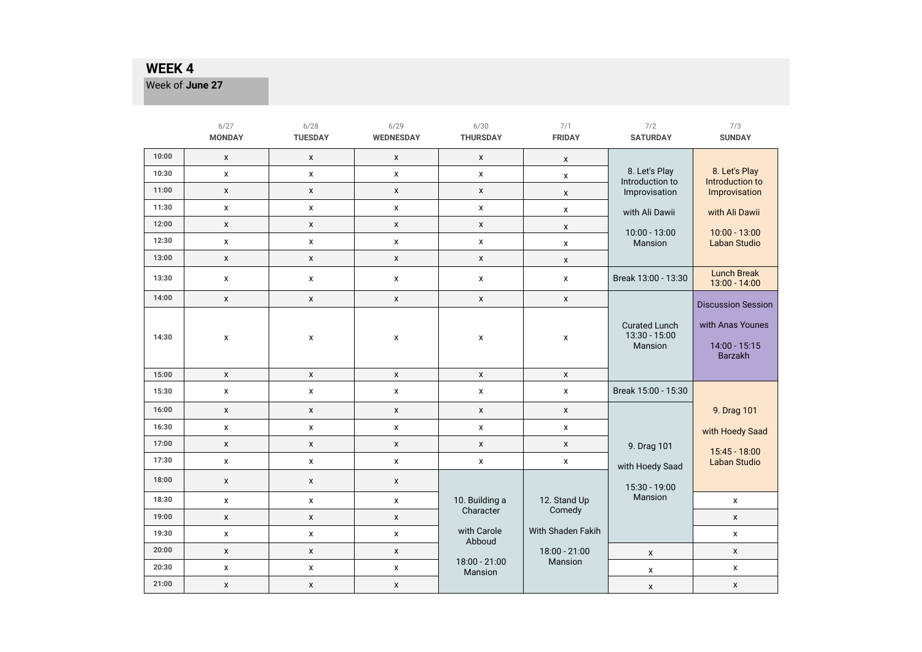Week of: **June 27** 

|       | 6/27<br><b>MONDAY</b> | 6/28<br><b>TUESDAY</b> | 6/29<br><b>WEDNESDAY</b> | 6/30<br><b>THURSDAY</b>  | 7/1<br><b>FRIDAY</b>     | 7/2<br><b>SATURDAY</b>                           | 7/3<br><b>SUNDAY</b>                                |
|-------|-----------------------|------------------------|--------------------------|--------------------------|--------------------------|--------------------------------------------------|-----------------------------------------------------|
| 10:00 | $\pmb{\chi}$          | $\pmb{\mathsf{x}}$     | X                        | X                        | x                        |                                                  |                                                     |
| 10:30 | x                     | $\pmb{\mathsf{x}}$     | x                        | x                        | X                        | 8. Let's Play<br>Introduction to                 | 8. Let's Play<br>Introduction to                    |
| 11:00 | $\pmb{\mathsf{x}}$    | X                      | X                        | $\pmb{\mathsf{x}}$       | X                        | Improvisation                                    | Improvisation                                       |
| 11:30 | X                     | X                      | X                        | X                        | X                        | with Ali Dawii                                   | with Ali Dawii                                      |
| 12:00 | X                     | $\pmb{\mathsf{x}}$     | X                        | $\pmb{\mathsf{x}}$       | X                        | $10:00 - 13:00$                                  | $10:00 - 13:00$                                     |
| 12:30 | x                     | x                      | x                        | x                        | X                        | Mansion                                          | <b>Laban Studio</b>                                 |
| 13:00 | $\pmb{\mathsf{x}}$    | $\pmb{\mathsf{x}}$     | $\pmb{\mathsf{x}}$       | $\pmb{\mathsf{x}}$       | X                        |                                                  |                                                     |
| 13:30 | x                     | X                      | X                        | X                        | $\pmb{\mathsf{x}}$       | Break 13:00 - 13:30                              | <b>Lunch Break</b><br>13:00 - 14:00                 |
| 14:00 | X                     | $\pmb{\mathsf{x}}$     | $\pmb{\mathsf{x}}$       | $\pmb{\mathsf{x}}$       | $\pmb{\mathsf{x}}$       |                                                  | <b>Discussion Session</b>                           |
| 14:30 | X                     | X                      | x                        | X                        | X                        | <b>Curated Lunch</b><br>13:30 - 15:00<br>Mansion | with Anas Younes<br>14:00 - 15:15<br><b>Barzakh</b> |
| 15:00 | $\pmb{\mathsf{x}}$    | $\pmb{\mathsf{x}}$     | $\pmb{\mathsf{x}}$       | X                        | $\pmb{\mathsf{x}}$       |                                                  |                                                     |
| 15:30 | X                     | X                      | x                        | x                        | $\pmb{\mathsf{X}}$       | Break 15:00 - 15:30                              |                                                     |
| 16:00 | X                     | $\pmb{\mathsf{x}}$     | $\pmb{\mathsf{x}}$       | X                        | $\pmb{\times}$           |                                                  | 9. Drag 101                                         |
| 16:30 | x                     | $\pmb{\mathsf{x}}$     | x                        | x                        | x                        |                                                  | with Hoedy Saad                                     |
| 17:00 | X                     | $\pmb{\mathsf{x}}$     | $\pmb{\mathsf{x}}$       | X                        | X                        | 9. Drag 101                                      | 15:45 - 18:00                                       |
| 17:30 | $\pmb{\mathsf{x}}$    | $\pmb{\mathsf{x}}$     | X                        | X                        | $\pmb{\mathsf{X}}$       | with Hoedy Saad                                  | Laban Studio                                        |
| 18:00 | X                     | $\pmb{\mathsf{x}}$     | X                        |                          |                          | 15:30 - 19:00                                    |                                                     |
| 18:30 | x                     | $\pmb{\mathsf{x}}$     | $\pmb{\mathsf{x}}$       | 10. Building a           | 12. Stand Up             | Mansion                                          | X                                                   |
| 19:00 | X                     | $\pmb{\mathsf{x}}$     | $\pmb{\mathsf{x}}$       | Character                | Comedy                   |                                                  | $\pmb{\mathsf{x}}$                                  |
| 19:30 | x                     | $\pmb{\mathsf{x}}$     | x                        | with Carole<br>Abboud    | <b>With Shaden Fakih</b> |                                                  | X                                                   |
| 20:00 | $\pmb{\mathsf{X}}$    | $\pmb{\mathsf{x}}$     | $\pmb{\mathsf{x}}$       |                          | 18:00 - 21:00            | X                                                | $\pmb{\mathsf{X}}$                                  |
| 20:30 | X                     | $\pmb{\mathsf{X}}$     | x                        | 18:00 - 21:00<br>Mansion | Mansion                  | X                                                | $\pmb{\mathsf{x}}$                                  |
| 21:00 | X                     | X                      | X                        |                          |                          | $\pmb{\chi}$                                     | $\pmb{\mathsf{X}}$                                  |